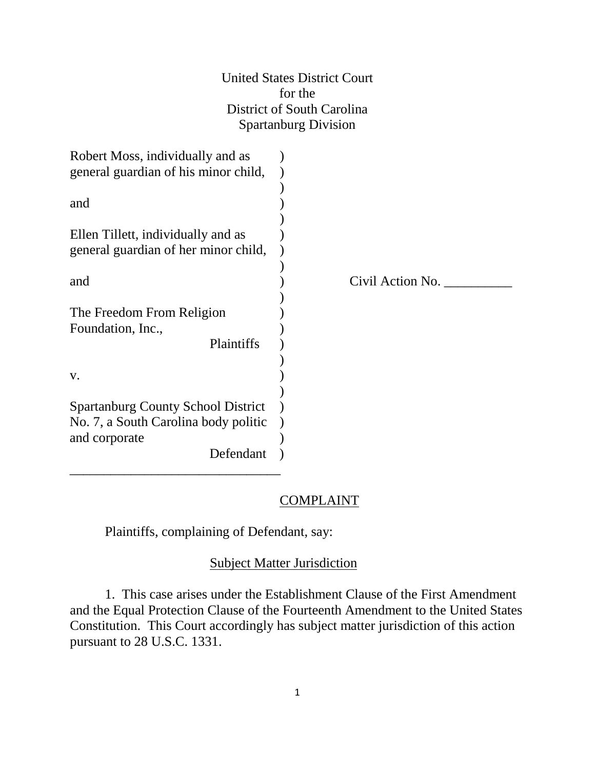United States District Court for the District of South Carolina Spartanburg Division

| Robert Moss, individually and as          |                  |
|-------------------------------------------|------------------|
| general guardian of his minor child,      |                  |
|                                           |                  |
| and                                       |                  |
|                                           |                  |
| Ellen Tillett, individually and as        |                  |
| general guardian of her minor child,      |                  |
|                                           |                  |
| and                                       | Civil Action No. |
|                                           |                  |
| The Freedom From Religion                 |                  |
| Foundation, Inc.,                         |                  |
| Plaintiffs                                |                  |
|                                           |                  |
| V.                                        |                  |
|                                           |                  |
| <b>Spartanburg County School District</b> |                  |
| No. 7, a South Carolina body politic      |                  |
| and corporate                             |                  |
| Defendant                                 |                  |
|                                           |                  |

## **COMPLAINT**

Plaintiffs, complaining of Defendant, say:

# Subject Matter Jurisdiction

1. This case arises under the Establishment Clause of the First Amendment and the Equal Protection Clause of the Fourteenth Amendment to the United States Constitution. This Court accordingly has subject matter jurisdiction of this action pursuant to 28 U.S.C. 1331.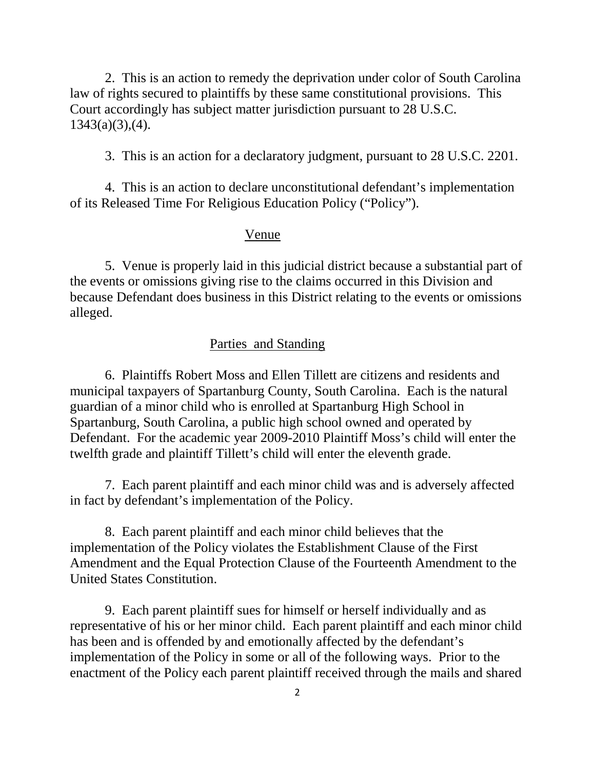2. This is an action to remedy the deprivation under color of South Carolina law of rights secured to plaintiffs by these same constitutional provisions. This Court accordingly has subject matter jurisdiction pursuant to 28 U.S.C.  $1343(a)(3),(4)$ .

3. This is an action for a declaratory judgment, pursuant to 28 U.S.C. 2201.

4. This is an action to declare unconstitutional defendant's implementation of its Released Time For Religious Education Policy ("Policy").

### Venue

5. Venue is properly laid in this judicial district because a substantial part of the events or omissions giving rise to the claims occurred in this Division and because Defendant does business in this District relating to the events or omissions alleged.

# Parties and Standing

6. Plaintiffs Robert Moss and Ellen Tillett are citizens and residents and municipal taxpayers of Spartanburg County, South Carolina. Each is the natural guardian of a minor child who is enrolled at Spartanburg High School in Spartanburg, South Carolina, a public high school owned and operated by Defendant. For the academic year 2009-2010 Plaintiff Moss's child will enter the twelfth grade and plaintiff Tillett's child will enter the eleventh grade.

7. Each parent plaintiff and each minor child was and is adversely affected in fact by defendant's implementation of the Policy.

8. Each parent plaintiff and each minor child believes that the implementation of the Policy violates the Establishment Clause of the First Amendment and the Equal Protection Clause of the Fourteenth Amendment to the United States Constitution.

9. Each parent plaintiff sues for himself or herself individually and as representative of his or her minor child. Each parent plaintiff and each minor child has been and is offended by and emotionally affected by the defendant's implementation of the Policy in some or all of the following ways. Prior to the enactment of the Policy each parent plaintiff received through the mails and shared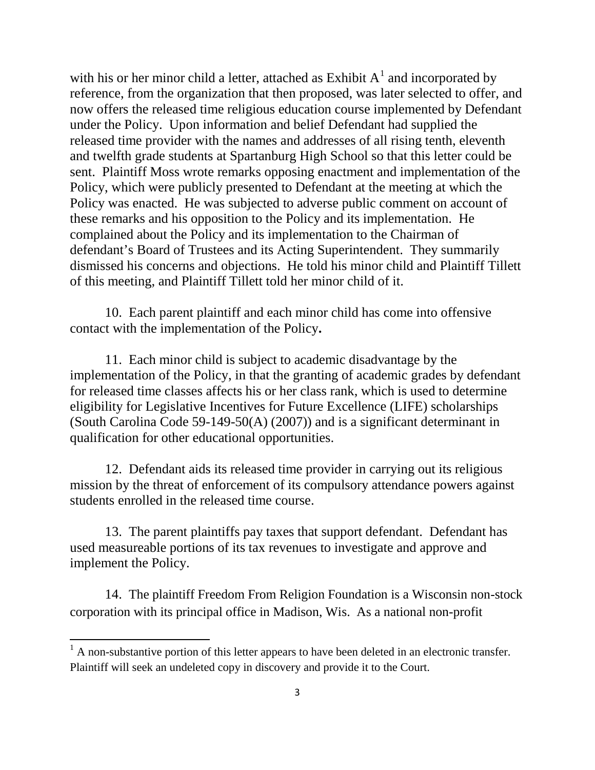with his or her minor child a letter, attached as Exhibit  $A<sup>1</sup>$  $A<sup>1</sup>$  $A<sup>1</sup>$  and incorporated by reference, from the organization that then proposed, was later selected to offer, and now offers the released time religious education course implemented by Defendant under the Policy. Upon information and belief Defendant had supplied the released time provider with the names and addresses of all rising tenth, eleventh and twelfth grade students at Spartanburg High School so that this letter could be sent. Plaintiff Moss wrote remarks opposing enactment and implementation of the Policy, which were publicly presented to Defendant at the meeting at which the Policy was enacted. He was subjected to adverse public comment on account of these remarks and his opposition to the Policy and its implementation. He complained about the Policy and its implementation to the Chairman of defendant's Board of Trustees and its Acting Superintendent. They summarily dismissed his concerns and objections. He told his minor child and Plaintiff Tillett of this meeting, and Plaintiff Tillett told her minor child of it.

10. Each parent plaintiff and each minor child has come into offensive contact with the implementation of the Policy**.**

11. Each minor child is subject to academic disadvantage by the implementation of the Policy, in that the granting of academic grades by defendant for released time classes affects his or her class rank, which is used to determine eligibility for Legislative Incentives for Future Excellence (LIFE) scholarships (South Carolina Code 59-149-50(A) (2007)) and is a significant determinant in qualification for other educational opportunities.

12. Defendant aids its released time provider in carrying out its religious mission by the threat of enforcement of its compulsory attendance powers against students enrolled in the released time course.

13. The parent plaintiffs pay taxes that support defendant. Defendant has used measureable portions of its tax revenues to investigate and approve and implement the Policy.

14. The plaintiff Freedom From Religion Foundation is a Wisconsin non-stock corporation with its principal office in Madison, Wis. As a national non-profit

 $\overline{\phantom{0}}$ 

<span id="page-2-0"></span> $<sup>1</sup>$  A non-substantive portion of this letter appears to have been deleted in an electronic transfer.</sup> Plaintiff will seek an undeleted copy in discovery and provide it to the Court.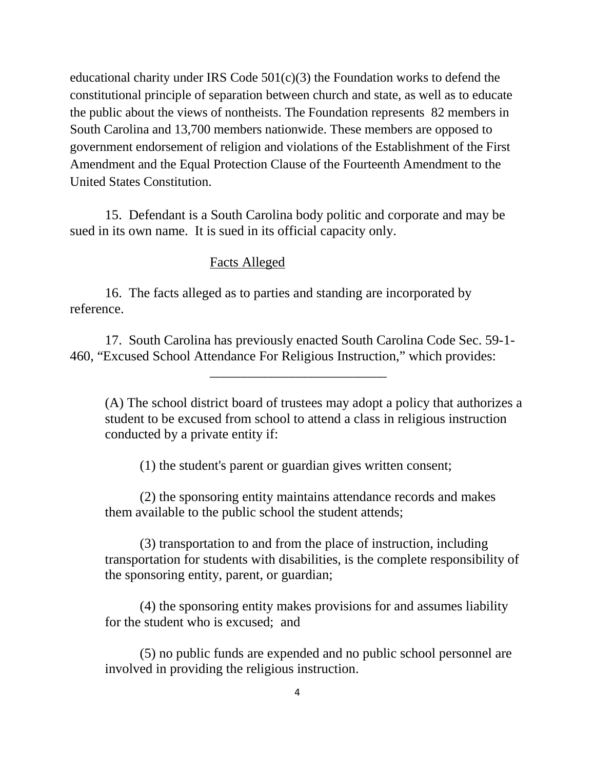educational charity under IRS Code 501(c)(3) the Foundation works to defend the constitutional principle of separation between church and state, as well as to educate the public about the views of nontheists. The Foundation represents 82 members in South Carolina and 13,700 members nationwide. These members are opposed to government endorsement of religion and violations of the Establishment of the First Amendment and the Equal Protection Clause of the Fourteenth Amendment to the United States Constitution.

15. Defendant is a South Carolina body politic and corporate and may be sued in its own name. It is sued in its official capacity only.

### Facts Alleged

16. The facts alleged as to parties and standing are incorporated by reference.

17. South Carolina has previously enacted South Carolina Code Sec. 59-1- 460, "Excused School Attendance For Religious Instruction," which provides:

\_\_\_\_\_\_\_\_\_\_\_\_\_\_\_\_\_\_\_\_\_\_\_\_\_\_

(A) The school district board of trustees may adopt a policy that authorizes a student to be excused from school to attend a class in religious instruction conducted by a private entity if:

(1) the student's parent or guardian gives written consent;

(2) the sponsoring entity maintains attendance records and makes them available to the public school the student attends;

(3) transportation to and from the place of instruction, including transportation for students with disabilities, is the complete responsibility of the sponsoring entity, parent, or guardian;

(4) the sponsoring entity makes provisions for and assumes liability for the student who is excused; and

(5) no public funds are expended and no public school personnel are involved in providing the religious instruction.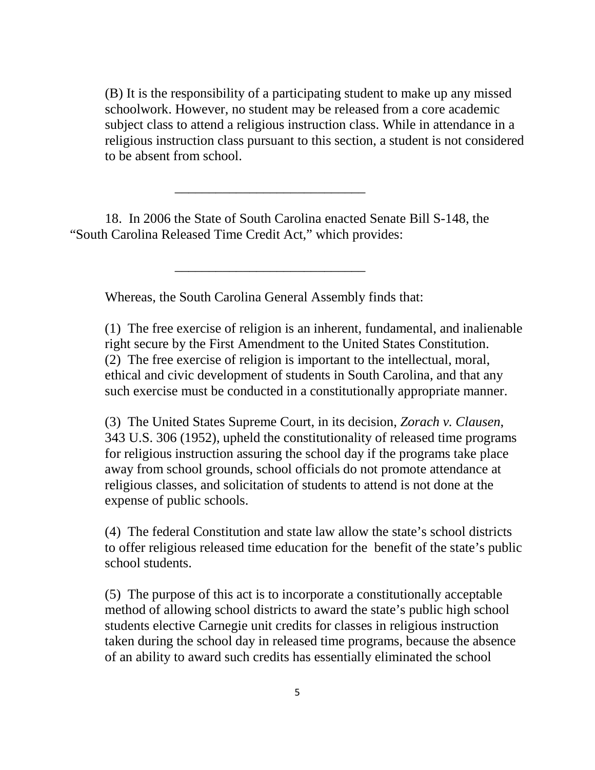(B) It is the responsibility of a participating student to make up any missed schoolwork. However, no student may be released from a core academic subject class to attend a religious instruction class. While in attendance in a religious instruction class pursuant to this section, a student is not considered to be absent from school.

18. In 2006 the State of South Carolina enacted Senate Bill S-148, the "South Carolina Released Time Credit Act," which provides:

\_\_\_\_\_\_\_\_\_\_\_\_\_\_\_\_\_\_\_\_\_\_\_\_\_\_\_\_

Whereas, the South Carolina General Assembly finds that:

\_\_\_\_\_\_\_\_\_\_\_\_\_\_\_\_\_\_\_\_\_\_\_\_\_\_\_\_

(1) The free exercise of religion is an inherent, fundamental, and inalienable right secure by the First Amendment to the United States Constitution. (2) The free exercise of religion is important to the intellectual, moral, ethical and civic development of students in South Carolina, and that any such exercise must be conducted in a constitutionally appropriate manner.

(3) The United States Supreme Court, in its decision, *Zorach v. Clausen*, 343 U.S. 306 (1952), upheld the constitutionality of released time programs for religious instruction assuring the school day if the programs take place away from school grounds, school officials do not promote attendance at religious classes, and solicitation of students to attend is not done at the expense of public schools.

(4) The federal Constitution and state law allow the state's school districts to offer religious released time education for the benefit of the state's public school students.

(5) The purpose of this act is to incorporate a constitutionally acceptable method of allowing school districts to award the state's public high school students elective Carnegie unit credits for classes in religious instruction taken during the school day in released time programs, because the absence of an ability to award such credits has essentially eliminated the school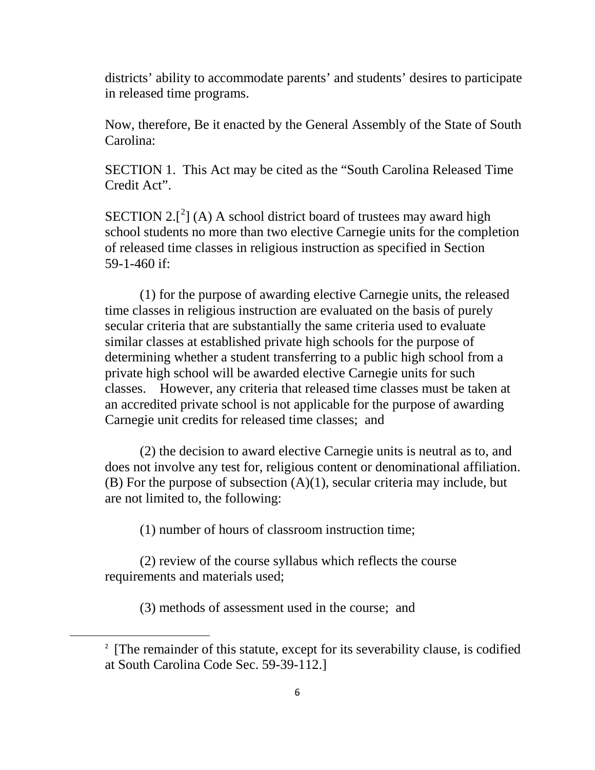districts' ability to accommodate parents' and students' desires to participate in released time programs.

Now, therefore, Be it enacted by the General Assembly of the State of South Carolina:

SECTION 1. This Act may be cited as the "South Carolina Released Time Credit Act".

SECTION [2](#page-5-0). $[^{2}]$  (A) A school district board of trustees may award high school students no more than two elective Carnegie units for the completion of released time classes in religious instruction as specified in Section 59-1-460 if:

(1) for the purpose of awarding elective Carnegie units, the released time classes in religious instruction are evaluated on the basis of purely secular criteria that are substantially the same criteria used to evaluate similar classes at established private high schools for the purpose of determining whether a student transferring to a public high school from a private high school will be awarded elective Carnegie units for such classes. However, any criteria that released time classes must be taken at an accredited private school is not applicable for the purpose of awarding Carnegie unit credits for released time classes; and

(2) the decision to award elective Carnegie units is neutral as to, and does not involve any test for, religious content or denominational affiliation. (B) For the purpose of subsection  $(A)(1)$ , secular criteria may include, but are not limited to, the following:

(1) number of hours of classroom instruction time;

(2) review of the course syllabus which reflects the course requirements and materials used;

(3) methods of assessment used in the course; and

<span id="page-5-0"></span><sup>&</sup>lt;sup>2</sup> [The remainder of this statute, except for its severability clause, is codified at South Carolina Code Sec. 59-39-112.]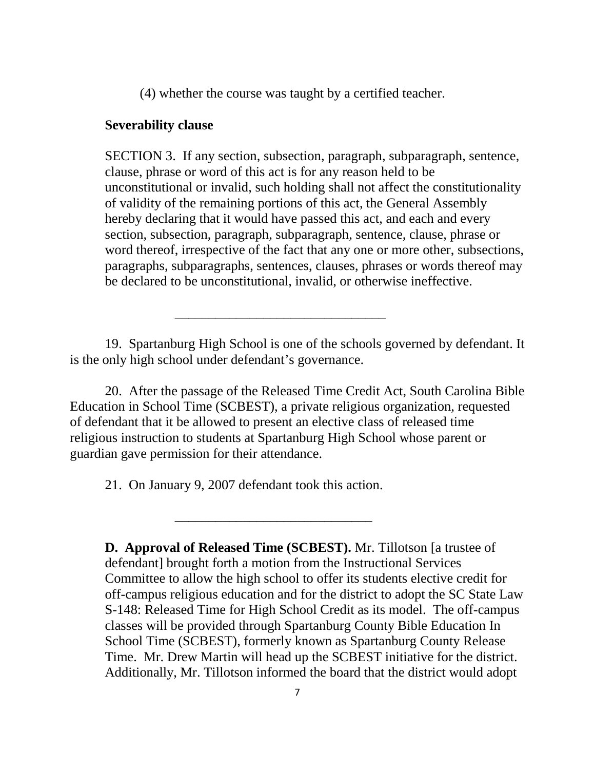(4) whether the course was taught by a certified teacher.

### **Severability clause**

SECTION 3. If any section, subsection, paragraph, subparagraph, sentence, clause, phrase or word of this act is for any reason held to be unconstitutional or invalid, such holding shall not affect the constitutionality of validity of the remaining portions of this act, the General Assembly hereby declaring that it would have passed this act, and each and every section, subsection, paragraph, subparagraph, sentence, clause, phrase or word thereof, irrespective of the fact that any one or more other, subsections, paragraphs, subparagraphs, sentences, clauses, phrases or words thereof may be declared to be unconstitutional, invalid, or otherwise ineffective.

19. Spartanburg High School is one of the schools governed by defendant. It is the only high school under defendant's governance.

\_\_\_\_\_\_\_\_\_\_\_\_\_\_\_\_\_\_\_\_\_\_\_\_\_\_\_\_\_\_\_

20. After the passage of the Released Time Credit Act, South Carolina Bible Education in School Time (SCBEST), a private religious organization, requested of defendant that it be allowed to present an elective class of released time religious instruction to students at Spartanburg High School whose parent or guardian gave permission for their attendance.

21. On January 9, 2007 defendant took this action.

\_\_\_\_\_\_\_\_\_\_\_\_\_\_\_\_\_\_\_\_\_\_\_\_\_\_\_\_\_

**D. Approval of Released Time (SCBEST).** Mr. Tillotson [a trustee of defendant] brought forth a motion from the Instructional Services Committee to allow the high school to offer its students elective credit for off-campus religious education and for the district to adopt the SC State Law S-148: Released Time for High School Credit as its model. The off-campus classes will be provided through Spartanburg County Bible Education In School Time (SCBEST), formerly known as Spartanburg County Release Time. Mr. Drew Martin will head up the SCBEST initiative for the district. Additionally, Mr. Tillotson informed the board that the district would adopt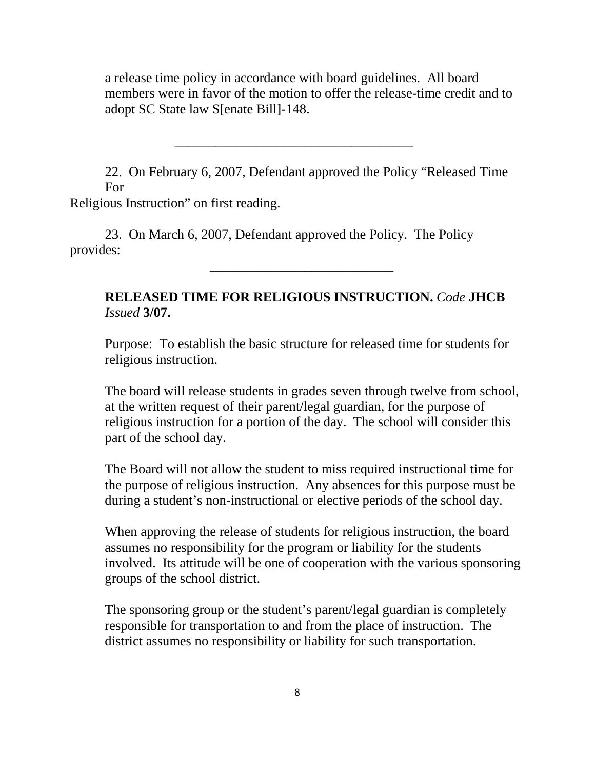a release time policy in accordance with board guidelines. All board members were in favor of the motion to offer the release-time credit and to adopt SC State law S[enate Bill]-148.

22. On February 6, 2007, Defendant approved the Policy "Released Time For

\_\_\_\_\_\_\_\_\_\_\_\_\_\_\_\_\_\_\_\_\_\_\_\_\_\_\_\_\_\_\_\_\_\_\_

Religious Instruction" on first reading.

23. On March 6, 2007, Defendant approved the Policy. The Policy provides:

# **RELEASED TIME FOR RELIGIOUS INSTRUCTION.** *Code* **JHCB**  *Issued* **3/07.**

\_\_\_\_\_\_\_\_\_\_\_\_\_\_\_\_\_\_\_\_\_\_\_\_\_\_\_

Purpose: To establish the basic structure for released time for students for religious instruction.

The board will release students in grades seven through twelve from school, at the written request of their parent/legal guardian, for the purpose of religious instruction for a portion of the day. The school will consider this part of the school day.

The Board will not allow the student to miss required instructional time for the purpose of religious instruction. Any absences for this purpose must be during a student's non-instructional or elective periods of the school day.

When approving the release of students for religious instruction, the board assumes no responsibility for the program or liability for the students involved. Its attitude will be one of cooperation with the various sponsoring groups of the school district.

The sponsoring group or the student's parent/legal guardian is completely responsible for transportation to and from the place of instruction. The district assumes no responsibility or liability for such transportation.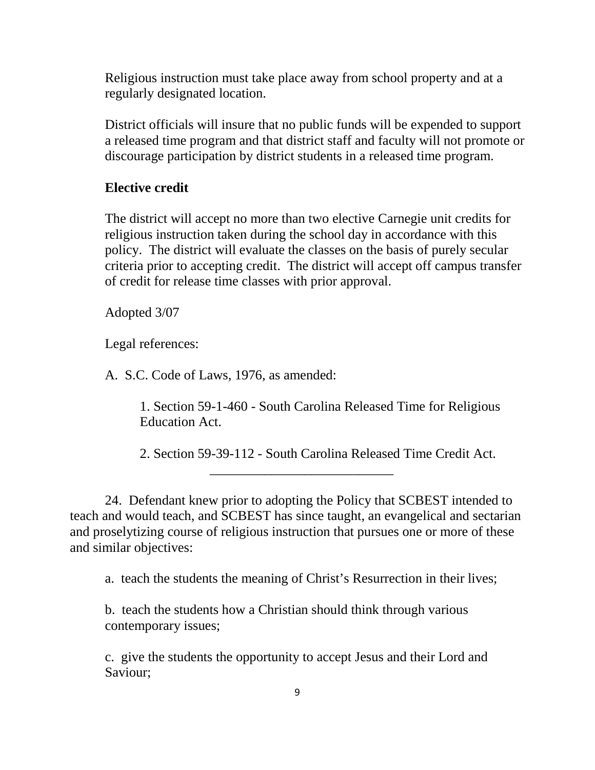Religious instruction must take place away from school property and at a regularly designated location.

District officials will insure that no public funds will be expended to support a released time program and that district staff and faculty will not promote or discourage participation by district students in a released time program.

## **Elective credit**

The district will accept no more than two elective Carnegie unit credits for religious instruction taken during the school day in accordance with this policy. The district will evaluate the classes on the basis of purely secular criteria prior to accepting credit. The district will accept off campus transfer of credit for release time classes with prior approval.

Adopted 3/07

Legal references:

A. S.C. Code of Laws, 1976, as amended:

1. Section 59-1-460 - South Carolina Released Time for Religious Education Act.

2. Section 59-39-112 - South Carolina Released Time Credit Act.

24. Defendant knew prior to adopting the Policy that SCBEST intended to teach and would teach, and SCBEST has since taught, an evangelical and sectarian and proselytizing course of religious instruction that pursues one or more of these and similar objectives:

\_\_\_\_\_\_\_\_\_\_\_\_\_\_\_\_\_\_\_\_\_\_\_\_\_\_\_

a. teach the students the meaning of Christ's Resurrection in their lives;

b. teach the students how a Christian should think through various contemporary issues;

c. give the students the opportunity to accept Jesus and their Lord and Saviour;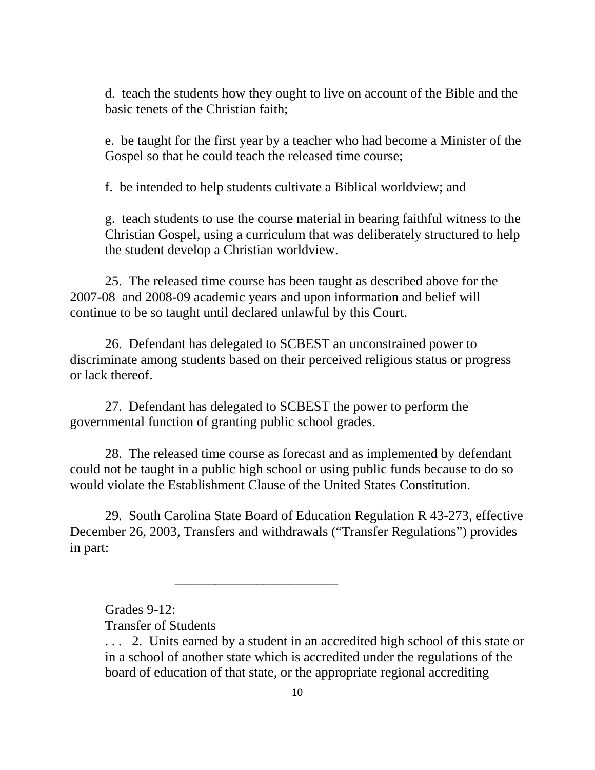d. teach the students how they ought to live on account of the Bible and the basic tenets of the Christian faith;

e. be taught for the first year by a teacher who had become a Minister of the Gospel so that he could teach the released time course;

f. be intended to help students cultivate a Biblical worldview; and

g. teach students to use the course material in bearing faithful witness to the Christian Gospel, using a curriculum that was deliberately structured to help the student develop a Christian worldview.

25. The released time course has been taught as described above for the 2007-08 and 2008-09 academic years and upon information and belief will continue to be so taught until declared unlawful by this Court.

26. Defendant has delegated to SCBEST an unconstrained power to discriminate among students based on their perceived religious status or progress or lack thereof.

27. Defendant has delegated to SCBEST the power to perform the governmental function of granting public school grades.

\_\_\_\_\_\_\_\_\_\_\_\_\_\_\_\_\_\_\_\_\_\_\_\_

28. The released time course as forecast and as implemented by defendant could not be taught in a public high school or using public funds because to do so would violate the Establishment Clause of the United States Constitution.

29. South Carolina State Board of Education Regulation R 43-273, effective December 26, 2003, Transfers and withdrawals ("Transfer Regulations") provides in part:

Grades 9-12:

Transfer of Students

<sup>. . . 2.</sup> Units earned by a student in an accredited high school of this state or in a school of another state which is accredited under the regulations of the board of education of that state, or the appropriate regional accrediting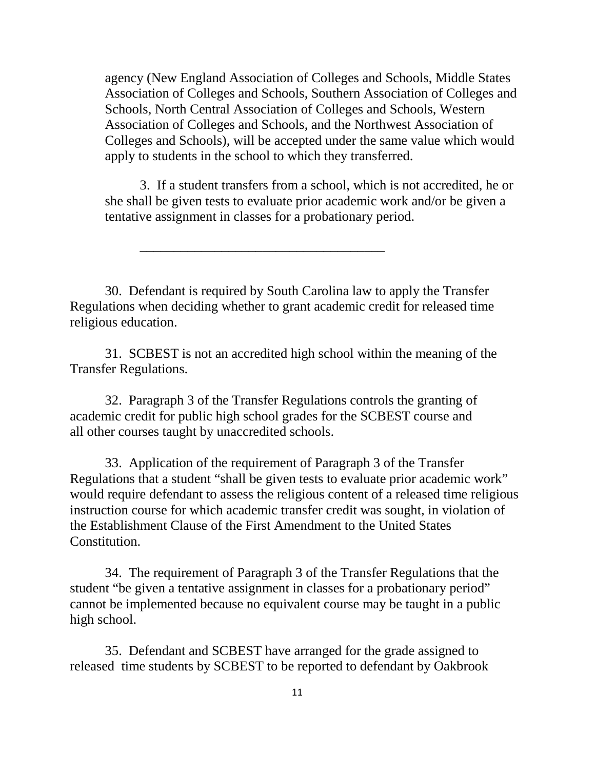agency (New England Association of Colleges and Schools, Middle States Association of Colleges and Schools, Southern Association of Colleges and Schools, North Central Association of Colleges and Schools, Western Association of Colleges and Schools, and the Northwest Association of Colleges and Schools), will be accepted under the same value which would apply to students in the school to which they transferred.

3. If a student transfers from a school, which is not accredited, he or she shall be given tests to evaluate prior academic work and/or be given a tentative assignment in classes for a probationary period.

30. Defendant is required by South Carolina law to apply the Transfer Regulations when deciding whether to grant academic credit for released time religious education.

\_\_\_\_\_\_\_\_\_\_\_\_\_\_\_\_\_\_\_\_\_\_\_\_\_\_\_\_\_\_\_\_\_\_\_\_

31. SCBEST is not an accredited high school within the meaning of the Transfer Regulations.

32. Paragraph 3 of the Transfer Regulations controls the granting of academic credit for public high school grades for the SCBEST course and all other courses taught by unaccredited schools.

33. Application of the requirement of Paragraph 3 of the Transfer Regulations that a student "shall be given tests to evaluate prior academic work" would require defendant to assess the religious content of a released time religious instruction course for which academic transfer credit was sought, in violation of the Establishment Clause of the First Amendment to the United States Constitution.

34. The requirement of Paragraph 3 of the Transfer Regulations that the student "be given a tentative assignment in classes for a probationary period" cannot be implemented because no equivalent course may be taught in a public high school.

35. Defendant and SCBEST have arranged for the grade assigned to released time students by SCBEST to be reported to defendant by Oakbrook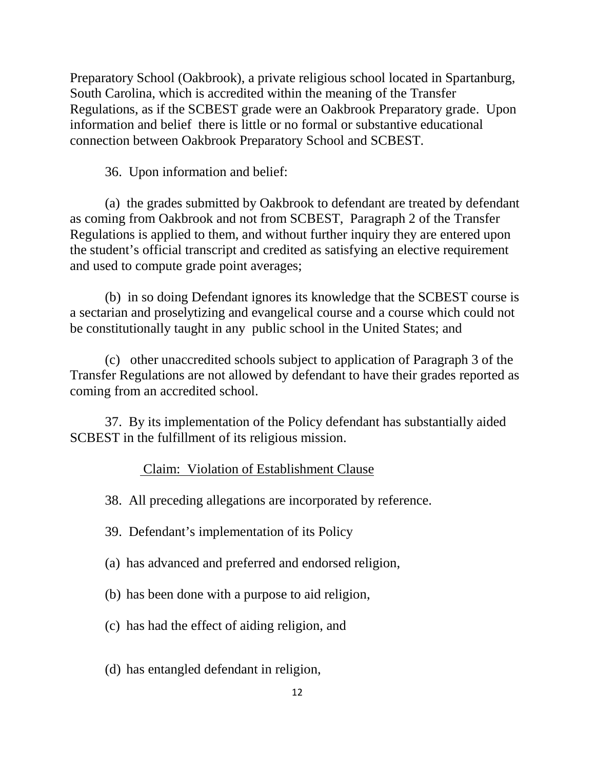Preparatory School (Oakbrook), a private religious school located in Spartanburg, South Carolina, which is accredited within the meaning of the Transfer Regulations, as if the SCBEST grade were an Oakbrook Preparatory grade. Upon information and belief there is little or no formal or substantive educational connection between Oakbrook Preparatory School and SCBEST.

36. Upon information and belief:

(a) the grades submitted by Oakbrook to defendant are treated by defendant as coming from Oakbrook and not from SCBEST, Paragraph 2 of the Transfer Regulations is applied to them, and without further inquiry they are entered upon the student's official transcript and credited as satisfying an elective requirement and used to compute grade point averages;

(b) in so doing Defendant ignores its knowledge that the SCBEST course is a sectarian and proselytizing and evangelical course and a course which could not be constitutionally taught in any public school in the United States; and

(c) other unaccredited schools subject to application of Paragraph 3 of the Transfer Regulations are not allowed by defendant to have their grades reported as coming from an accredited school.

37. By its implementation of the Policy defendant has substantially aided SCBEST in the fulfillment of its religious mission.

### Claim: Violation of Establishment Clause

38. All preceding allegations are incorporated by reference.

- 39. Defendant's implementation of its Policy
- (a) has advanced and preferred and endorsed religion,
- (b) has been done with a purpose to aid religion,
- (c) has had the effect of aiding religion, and
- (d) has entangled defendant in religion,